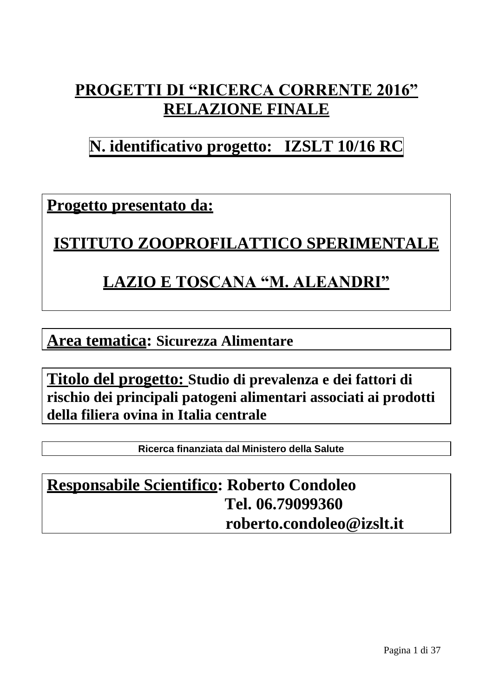# **PROGETTI DI "RICERCA CORRENTE 2016" RELAZIONE FINALE**

# **N. identificativo progetto: IZSLT 10/16 RC**

**Progetto presentato da:**

**ISTITUTO ZOOPROFILATTICO SPERIMENTALE**

### **LAZIO E TOSCANA "M. ALEANDRI"**

**Area tematica: Sicurezza Alimentare**

**Titolo del progetto: Studio di prevalenza e dei fattori di rischio dei principali patogeni alimentari associati ai prodotti della filiera ovina in Italia centrale**

**Ricerca finanziata dal Ministero della Salute**

## **Responsabile Scientifico: Roberto Condoleo Tel. 06.79099360 [roberto.condoleo@izslt.it](mailto:roberto.condoleo@izslt.it)**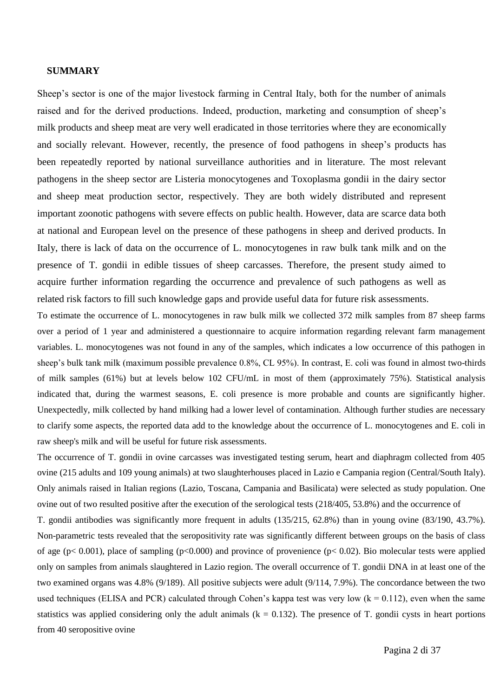#### **SUMMARY**

Sheep's sector is one of the major livestock farming in Central Italy, both for the number of animals raised and for the derived productions. Indeed, production, marketing and consumption of sheep's milk products and sheep meat are very well eradicated in those territories where they are economically and socially relevant. However, recently, the presence of food pathogens in sheep's products has been repeatedly reported by national surveillance authorities and in literature. The most relevant pathogens in the sheep sector are Listeria monocytogenes and Toxoplasma gondii in the dairy sector and sheep meat production sector, respectively. They are both widely distributed and represent important zoonotic pathogens with severe effects on public health. However, data are scarce data both at national and European level on the presence of these pathogens in sheep and derived products. In Italy, there is lack of data on the occurrence of L. monocytogenes in raw bulk tank milk and on the presence of T. gondii in edible tissues of sheep carcasses. Therefore, the present study aimed to acquire further information regarding the occurrence and prevalence of such pathogens as well as related risk factors to fill such knowledge gaps and provide useful data for future risk assessments.

To estimate the occurrence of L. monocytogenes in raw bulk milk we collected 372 milk samples from 87 sheep farms over a period of 1 year and administered a questionnaire to acquire information regarding relevant farm management variables. L. monocytogenes was not found in any of the samples, which indicates a low occurrence of this pathogen in sheep's bulk tank milk (maximum possible prevalence 0.8%, CL 95%). In contrast, E. coli was found in almost two-thirds of milk samples (61%) but at levels below 102 CFU/mL in most of them (approximately 75%). Statistical analysis indicated that, during the warmest seasons, E. coli presence is more probable and counts are significantly higher. Unexpectedly, milk collected by hand milking had a lower level of contamination. Although further studies are necessary to clarify some aspects, the reported data add to the knowledge about the occurrence of L. monocytogenes and E. coli in raw sheep's milk and will be useful for future risk assessments.

The occurrence of T. gondii in ovine carcasses was investigated testing serum, heart and diaphragm collected from 405 ovine (215 adults and 109 young animals) at two slaughterhouses placed in Lazio e Campania region (Central/South Italy). Only animals raised in Italian regions (Lazio, Toscana, Campania and Basilicata) were selected as study population. One ovine out of two resulted positive after the execution of the serological tests (218/405, 53.8%) and the occurrence of

T. gondii antibodies was significantly more frequent in adults (135/215, 62.8%) than in young ovine (83/190, 43.7%). Non-parametric tests revealed that the seropositivity rate was significantly different between groups on the basis of class of age ( $p$ < 0.001), place of sampling ( $p$ < 0.000) and province of provenience ( $p$ < 0.02). Bio molecular tests were applied only on samples from animals slaughtered in Lazio region. The overall occurrence of T. gondii DNA in at least one of the two examined organs was 4.8% (9/189). All positive subjects were adult (9/114, 7.9%). The concordance between the two used techniques (ELISA and PCR) calculated through Cohen's kappa test was very low  $(k = 0.112)$ , even when the same statistics was applied considering only the adult animals  $(k = 0.132)$ . The presence of T. gondii cysts in heart portions from 40 seropositive ovine